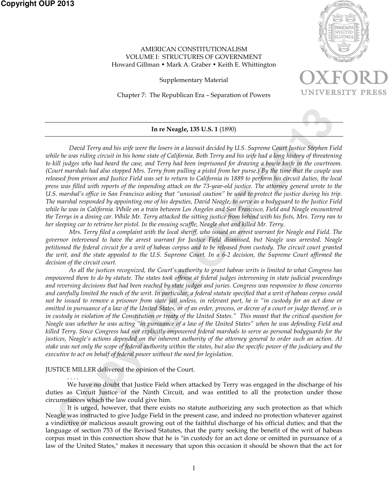

## AMERICAN CONSTITUTIONALISM VOLUME I: STRUCTURES OF GOVERNMENT Howard Gillman • Mark A. Graber • Keith E. Whittington

Supplementary Material

Chapter 7: The Republican Era – Separation of Powers



**In re Neagle, 135 U.S. 1** (1890)

*David Terry and his wife were the losers in a lawsuit decided by U.S. Supreme Court Justice Stephen Field while he was riding circuit in his home state of California. Both Terry and his wife had a long history of threatening*  to kill judges who had heard the case, and Terry had been imprisoned for drawing a bowie knife in the courtroom. *(Court marshals had also stopped Mrs. Terry from pulling a pistol from her purse.) By the time that the couple was released from prison and Justice Field was set to return to California in 1889 to perform his circuit duties, the local press was filled with reports of the impending attack on the 73-year-old justice. The attorney general wrote to the U.S. marshal's office in San Francisco asking that "unusual caution" be used to protect the justice during his trip. The marshal responded by appointing one of his deputies, David Neagle, to serve as a bodyguard to the Justice Field while he was in California. While on a train between Los Angeles and San Francisco, Field and Neagle encountered the Terrys in a dining car. While Mr. Terry attacked the sitting justice from behind with his fists, Mrs. Terry ran to her sleeping car to retrieve her pistol. In the ensuing scuffle, Neagle shot and killed Mr. Terry.*

*Mrs. Terry filed a complaint with the local sheriff, who issued an arrest warrant for Neagle and Field. The governor intervened to have the arrest warrant for Justice Field dismissed, but Neagle was arrested. Neagle petitioned the federal circuit for a writ of habeas corpus and to be released from custody. The circuit court granted the writ, and the state appealed to the U.S. Supreme Court. In a 6-2 decision, the Supreme Court affirmed the decision of the circuit court.*

**In re Neagle, 135 U.S. 1 (1890)**<br> **Considering and his role term the lowest in a lawsuit deviated by U.S. Supreme Court justice Supplent Fig. (b)** the lowest rest to the light to the state of the light in this bonne is t *As all the justices recognized, the Court's authority to grant habeas writs is limited to what Congress has empowered them to do by statute. The states took offense at federal judges intervening in state judicial proceedings and reversing decisions that had been reached by state judges and juries. Congress was responsive to those concerns and carefully limited the reach of the writ. In particular, a federal statute specified that a writ of habeas corpus could not be issued to remove a prisoner from state jail unless, in relevant part, he is "in custody for an act done or omitted in pursuance of a law of the United States, or of an order, process, or decree of a court or judge thereof, or is in custody in violation of the Constitution or treaty of the United States." This meant that the critical question for Neagle was whether he was acting "in pursuance of a law of the United States" when he was defending Field and killed Terry. Since Congress had not explicitly empowered federal marshals to serve as personal bodyguards for the justices, Neagle's actions depended on the inherent authority of the attorney general to order such an action. At stake was not only the scope of federal authority within the states, but also the specific power of the judiciary and the executive to act on behalf of federal power without the need for legislation.*

## JUSTICE MILLER delivered the opinion of the Court.

. . . .

We have no doubt that Justice Field when attacked by Terry was engaged in the discharge of his duties as Circuit Justice of the Ninth Circuit, and was entitled to all the protection under those circumstances which the law could give him.

It is urged, however, that there exists no statute authorizing any such protection as that which Neagle was instructed to give Judge Field in the present case, and indeed no protection whatever against a vindictive or malicious assault growing out of the faithful discharge of his official duties; and that the language of section 753 of the Revised Statutes, that the party seeking the benefit of the writ of habeas corpus must in this connection show that he is "in custody for an act done or omitted in pursuance of a law of the United States," makes it necessary that upon this occasion it should be shown that the act for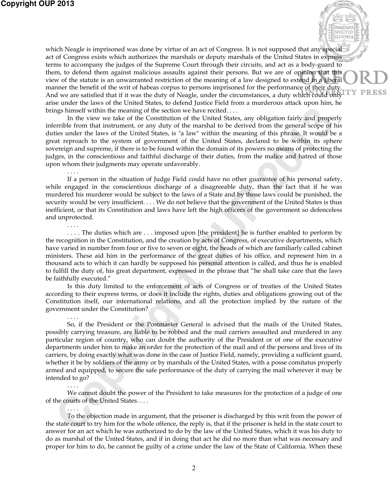. . . .

. . . .

. . . .

which Neagle is imprisoned was done by virtue of an act of Congress. It is not supposed that any special act of Congress exists which authorizes the marshals or deputy marshals of the United States in express terms to accompany the judges of the Supreme Court through their circuits, and act as a body-guard to them, to defend them against malicious assaults against their persons. But we are of opinion that this view of the statute is an unwarranted restriction of the meaning of a law designed to extend in a liberal manner the benefit of the writ of habeas corpus to persons imprisoned for the performance of their duty. **PRESS** And we are satisfied that if it was the duty of Neagle, under the circumstances, a duty which could only arise under the laws of the United States, to defend Justice Field from a murderous attack upon him, he brings himself within the meaning of the section we have recited. . . .

**DOMITMINA** NVS TIC **ILLV** 

In the view we take of the Constitution of the United States, any obligation fairly and properly inferrible from that instrument, or any duty of the marshal to be derived from the general scope of his duties under the laws of the United States, is "a law" within the meaning of this phrase. It would be a great reproach to the system of government of the United States, declared to be within its sphere sovereign and supreme, if there is to be found within the domain of its powers no means of protecting the judges, in the conscientious and faithful discharge of their duties, from the malice and hatred of those upon whom their judgments may operate unfavorably.

If a person in the situation of Judge Field could have no other guarantee of his personal safety, while engaged in the conscientious discharge of a disagreeable duty, than the fact that if he was murdered his murderer would be subject to the laws of a State and by those laws could be punished, the security would be very insufficient. . . . We do not believe that the government of the United States is thus inefficient, or that its Constitution and laws have left the high officers of the government so defenceless and unprotected.

. . . . The duties which are . . . imposed upon [the president] he is further enabled to perform by the recognition in the Constitution, and the creation by acts of Congress, of executive departments, which have varied in number from four or five to seven or eight, the heads of which are familiarly called cabinet ministers. These aid him in the performance of the great duties of his office, and represent him in a thousand acts to which it can hardly be supposed his personal attention is called, and thus he is enabled to fulfill the duty of, his great department, expressed in the phrase that "he shall take care that the laws be faithfully executed."

Is this duty limited to the enforcement of acts of Congress or of treaties of the United States according to their express terms, or does it include the rights, duties and obligations growing out of the Constitution itself, our international relations, and all the protection implied by the nature of the government under the Constitution?

type limits the meaning of the science of the castomer level.<br>
Considerably the meaning of the procedure and the properties of the constitution of the United States, any obligation fairly and properties<br>
First behove the U So, if the President or the Postmaster General is advised that the mails of the United States, possibly carrying treasure, are liable to be robbed and the mail carriers assaulted and murdered in any particular region of country, who can doubt the authority of the President or of one of the executive departments under him to make an order for the protection of the mail and of the persons and lives of its carriers, by doing exactly what was done in the case of Justice Field, namely, providing a sufficient guard, whether it be by soldiers of the army or by marshals of the United States, with a posse comitatus properly armed and equipped, to secure the safe performance of the duty of carrying the mail wherever it may be intended to go?

. . . . We cannot doubt the power of the President to take measures for the protection of a judge of one of the courts of the United States. . . .

. . . . To the objection made in argument, that the prisoner is discharged by this writ from the power of the state court to try him for the whole offence, the reply is, that if the prisoner is held in the state court to answer for an act which he was authorized to do by the law of the United States, which it was his duty to do as marshal of the United States, and if in doing that act he did no more than what was necessary and proper for him to do, he cannot be guilty of a crime under the law of the State of California. When these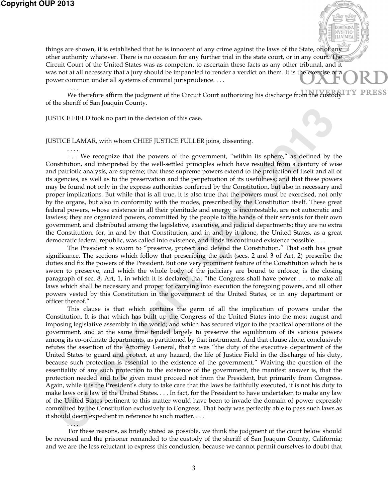things are shown, it is established that he is innocent of any crime against the laws of the State, or of any other authority whatever. There is no occasion for any further trial in the state court, or in any court. The Circuit Court of the United States was as competent to ascertain these facts as any other tribunal, and it was not at all necessary that a jury should be impaneled to render a verdict on them. It is the exercise of a power common under all systems of criminal jurisprudence. . . .

. . . . We therefore affirm the judgment of the Circuit Court authorizing his discharge from the custody of the sheriff of San Joaquin County.

**DOMITMINA** NVS TIC **ILLV** MEA

JUSTICE FIELD took no part in the decision of this case.

. . . .

. . . .

JUSTICE LAMAR, with whom CHIEF JUSTICE FULLER joins, dissenting.

. . . We recognize that the powers of the government, "within its sphere," as defined by the Constitution, and interpreted by the well-settled principles which have resulted from a century of wise and patriotic analysis, are supreme; that these supreme powers extend to the protection of itself and all of its agencies, as well as to the preservation and the perpetuation of its usefulness; and that these powers may be found not only in the express authorities conferred by the Constitution, but also in necessary and proper implications. But while that is all true, it is also true that the powers must be exercised, not only by the organs, but also in conformity with the modes, prescribed by the Constitution itself. These great federal powers, whose existence in all their plenitude and energy is incontestable, are not autocratic and lawless; they are organized powers, committed by the people to the hands of their servants for their own government, and distributed among the legislative, executive, and judicial departments; they are no extra the Constitution, for, in and by that Constitution, and in and by it alone, the United States, as a great democratic federal republic, was called into existence, and finds its continued existence possible. . . .

The President is sworn to "preserve, protect and defend the Constitution." That oath has great significance. The sections which follow that prescribing the oath (secs. 2 and 3 of Art. 2) prescribe the duties and fix the powers of the President. But one very prominent feature of the Constitution which he is sworn to preserve, and which the whole body of the judiciary are bound to enforce, is the closing paragraph of sec. 8, Art, 1, in which it is declared that "the Congress shall have power . . . to make all laws which shall be necessary and proper for carrying into execution the foregoing powers, and all other powers vested by this Constitution in the government of the United States, or in any department or officer thereof."

STICK-HFHJ D took no part in the decision of this case.<br>
STICK-HFHJ book no part in the decision of this case.<br>
COLOGE LAMAR, with whom CHEE JUSTICE FULLER joins, dissenting,<br>
...... We recognize that the powers of the go This clause is that which contains the germ of all the implication of powers under the Constitution. It is that which has built up the Congress of the United States into the most august and imposing legislative assembly in the world; and which has secured vigor to the practical operations of the government, and at the same time tended largely to preserve the equilibrium of its various powers among its co-ordinate departments, as partitioned by that instrument. And that clause alone, conclusively refutes the assertion of the Attorney General, that it was "the duty of the executive department of the United States to guard and protect, at any hazard, the life of Justice Field in the discharge of his duty, because such protection is essential to the existence of the government." Waiving the question of the essentiality of any such protection to the existence of the government, the manifest answer is, that the protection needed and to be given must proceed not from the President, but primarily from Congress. Again, while it is the President's duty to take care that the laws be faithfully executed, it is not his duty to make laws or a law of the United States. . . . In fact, for the President to have undertaken to make any law of the United States pertinent to this matter would have been to invade the domain of power expressly committed by the Constitution exclusively to Congress. That body was perfectly able to pass such laws as it should deem expedient in reference to such matter. . . .

For these reasons, as briefly stated as possible, we think the judgment of the court below should be reversed and the prisoner remanded to the custody of the sheriff of San Joaqum County, California; and we are the less reluctant to express this conclusion, because we cannot permit ourselves to doubt that